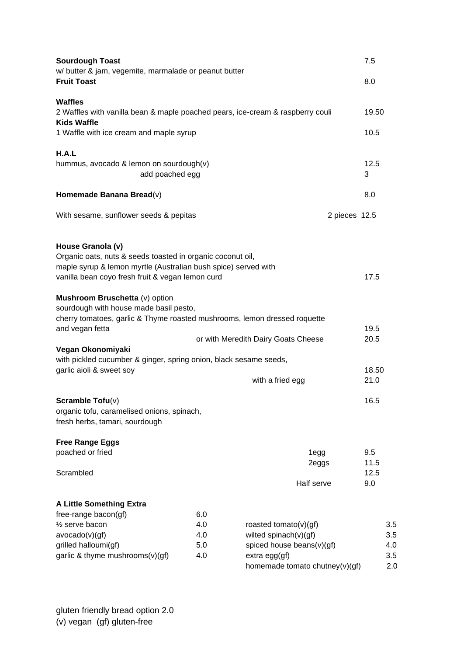| <b>Sourdough Toast</b><br>w/ butter & jam, vegemite, marmalade or peanut butter                                                                                                                       |            |                                                       | 7.5         |     |
|-------------------------------------------------------------------------------------------------------------------------------------------------------------------------------------------------------|------------|-------------------------------------------------------|-------------|-----|
| <b>Fruit Toast</b>                                                                                                                                                                                    |            |                                                       | 8.0         |     |
| Waffles                                                                                                                                                                                               |            |                                                       |             |     |
| 2 Waffles with vanilla bean & maple poached pears, ice-cream & raspberry couli<br><b>Kids Waffle</b>                                                                                                  |            |                                                       | 19.50       |     |
| 1 Waffle with ice cream and maple syrup                                                                                                                                                               |            |                                                       | 10.5        |     |
| H.A.L                                                                                                                                                                                                 |            |                                                       |             |     |
| hummus, avocado & lemon on sourdough(v)<br>add poached egg                                                                                                                                            |            |                                                       | 12.5<br>3   |     |
| Homemade Banana Bread(v)                                                                                                                                                                              |            |                                                       | 8.0         |     |
| With sesame, sunflower seeds & pepitas                                                                                                                                                                |            | 2 pieces 12.5                                         |             |     |
| House Granola (v)<br>Organic oats, nuts & seeds toasted in organic coconut oil,<br>maple syrup & lemon myrtle (Australian bush spice) served with<br>vanilla bean coyo fresh fruit & vegan lemon curd |            |                                                       | 17.5        |     |
| Mushroom Bruschetta (v) option<br>sourdough with house made basil pesto,<br>cherry tomatoes, garlic & Thyme roasted mushrooms, lemon dressed roquette<br>and vegan fetta                              |            |                                                       | 19.5        |     |
|                                                                                                                                                                                                       |            | or with Meredith Dairy Goats Cheese                   | 20.5        |     |
| Vegan Okonomiyaki<br>with pickled cucumber & ginger, spring onion, black sesame seeds,                                                                                                                |            |                                                       |             |     |
| garlic aioli & sweet soy                                                                                                                                                                              |            |                                                       | 18.50       |     |
|                                                                                                                                                                                                       |            | with a fried egg                                      | 21.0        |     |
| Scramble $\mathsf{Tofu}(v)$<br>organic tofu, caramelised onions, spinach,<br>fresh herbs, tamari, sourdough                                                                                           |            |                                                       | 16.5        |     |
| <b>Free Range Eggs</b>                                                                                                                                                                                |            |                                                       |             |     |
| poached or fried                                                                                                                                                                                      |            | 1 <sub>egg</sub><br>2eggs                             | 9.5<br>11.5 |     |
| Scrambled                                                                                                                                                                                             |            | Half serve                                            | 12.5<br>9.0 |     |
|                                                                                                                                                                                                       |            |                                                       |             |     |
| <b>A Little Something Extra</b>                                                                                                                                                                       |            |                                                       |             |     |
| free-range bacon(gf)<br>$\frac{1}{2}$ serve bacon                                                                                                                                                     | 6.0<br>4.0 |                                                       |             | 3.5 |
| avocado(v)(gf)                                                                                                                                                                                        | 4.0        | roasted tomato( $v$ )(gf)<br>wilted spinach $(v)(gf)$ |             | 3.5 |
| grilled halloumi(gf)                                                                                                                                                                                  | 5.0        | spiced house beans(v)(gf)                             |             | 4.0 |
| garlic & thyme mushrooms(v)(gf)                                                                                                                                                                       | 4.0        | $extra$ egg $(gf)$                                    |             | 3.5 |
|                                                                                                                                                                                                       |            | homemade tomato chutney(v)(gf)                        |             | 2.0 |